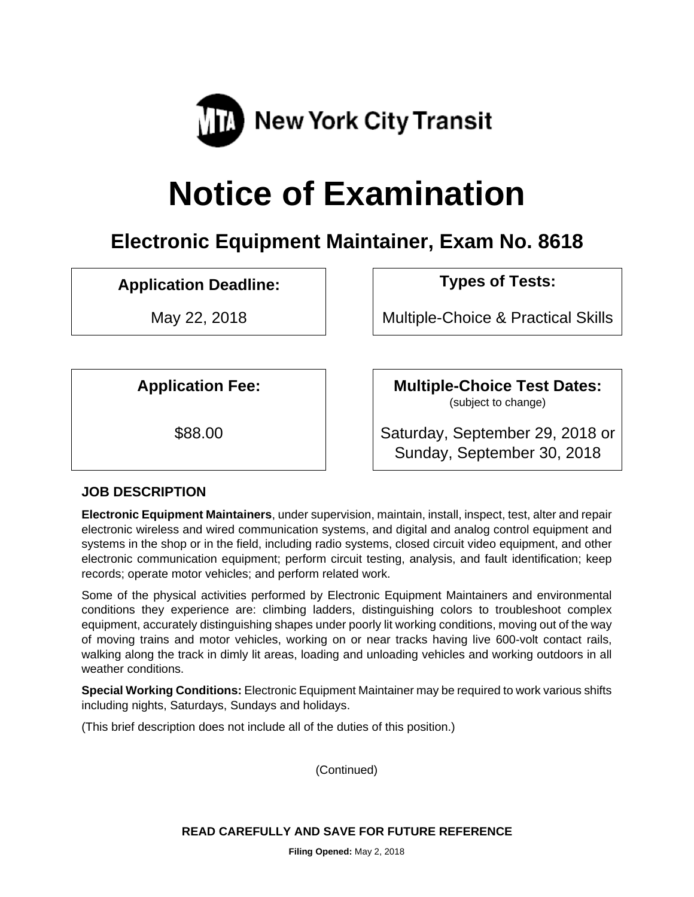

# **Notice of Examination**

# **Electronic Equipment Maintainer, Exam No. 8618**

# **Application Deadline: Types of Tests:**

May 22, 2018 **Multiple-Choice & Practical Skills** 

Application Fee:  $\parallel$  Multiple-Choice Test Dates:

(subject to change)

\$88.00 Saturday, September 29, 2018 or Sunday, September 30, 2018

## **JOB DESCRIPTION**

**Electronic Equipment Maintainers**, under supervision, maintain, install, inspect, test, alter and repair electronic wireless and wired communication systems, and digital and analog control equipment and systems in the shop or in the field, including radio systems, closed circuit video equipment, and other electronic communication equipment; perform circuit testing, analysis, and fault identification; keep records; operate motor vehicles; and perform related work.

Some of the physical activities performed by Electronic Equipment Maintainers and environmental conditions they experience are: climbing ladders, distinguishing colors to troubleshoot complex equipment, accurately distinguishing shapes under poorly lit working conditions, moving out of the way of moving trains and motor vehicles, working on or near tracks having live 600-volt contact rails, walking along the track in dimly lit areas, loading and unloading vehicles and working outdoors in all weather conditions.

**Special Working Conditions:** Electronic Equipment Maintainer may be required to work various shifts including nights, Saturdays, Sundays and holidays.

(This brief description does not include all of the duties of this position.)

(Continued)

**READ CAREFULLY AND SAVE FOR FUTURE REFERENCE**

**Filing Opened:** May 2, 2018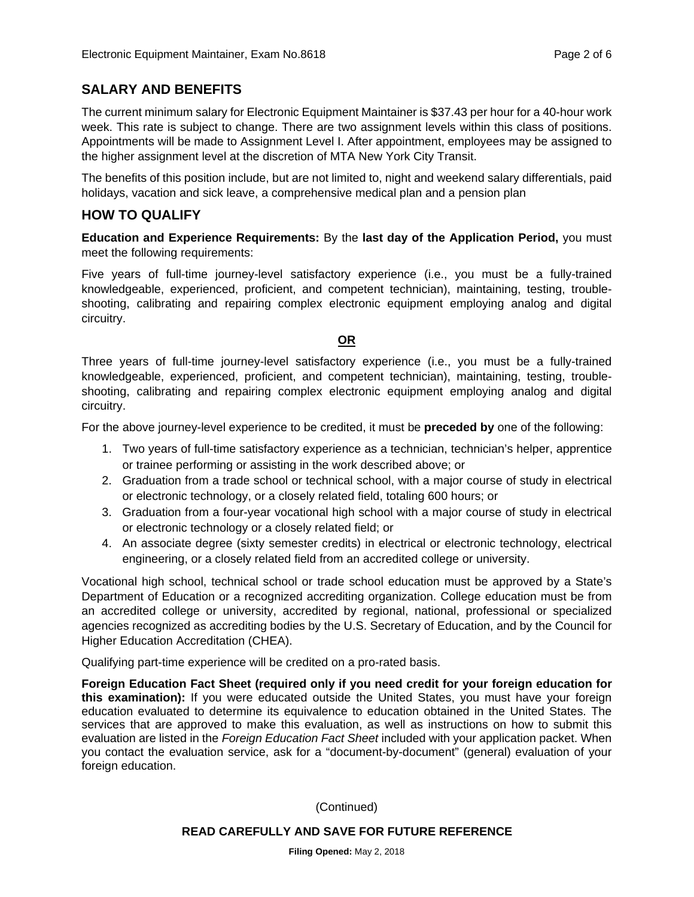#### **SALARY AND BENEFITS**

The current minimum salary for Electronic Equipment Maintainer is \$37.43 per hour for a 40-hour work week. This rate is subject to change. There are two assignment levels within this class of positions. Appointments will be made to Assignment Level I. After appointment, employees may be assigned to the higher assignment level at the discretion of MTA New York City Transit.

The benefits of this position include, but are not limited to, night and weekend salary differentials, paid holidays, vacation and sick leave, a comprehensive medical plan and a pension plan

#### **HOW TO QUALIFY**

**Education and Experience Requirements:** By the **last day of the Application Period,** you must meet the following requirements:

Five years of full-time journey-level satisfactory experience (i.e., you must be a fully-trained knowledgeable, experienced, proficient, and competent technician), maintaining, testing, troubleshooting, calibrating and repairing complex electronic equipment employing analog and digital circuitry.

#### **OR**

Three years of full-time journey-level satisfactory experience (i.e., you must be a fully-trained knowledgeable, experienced, proficient, and competent technician), maintaining, testing, troubleshooting, calibrating and repairing complex electronic equipment employing analog and digital circuitry.

For the above journey-level experience to be credited, it must be **preceded by** one of the following:

- 1. Two years of full-time satisfactory experience as a technician, technician's helper, apprentice or trainee performing or assisting in the work described above; or
- 2. Graduation from a trade school or technical school, with a major course of study in electrical or electronic technology, or a closely related field, totaling 600 hours; or
- 3. Graduation from a four-year vocational high school with a major course of study in electrical or electronic technology or a closely related field; or
- 4. An associate degree (sixty semester credits) in electrical or electronic technology, electrical engineering, or a closely related field from an accredited college or university.

Vocational high school, technical school or trade school education must be approved by a State's Department of Education or a recognized accrediting organization. College education must be from an accredited college or university, accredited by regional, national, professional or specialized agencies recognized as accrediting bodies by the U.S. Secretary of Education, and by the Council for Higher Education Accreditation (CHEA).

Qualifying part-time experience will be credited on a pro-rated basis.

**Foreign Education Fact Sheet (required only if you need credit for your foreign education for this examination):** If you were educated outside the United States, you must have your foreign education evaluated to determine its equivalence to education obtained in the United States. The services that are approved to make this evaluation, as well as instructions on how to submit this evaluation are listed in the *Foreign Education Fact Sheet* included with your application packet. When you contact the evaluation service, ask for a "document-by-document" (general) evaluation of your foreign education.

(Continued)

#### **READ CAREFULLY AND SAVE FOR FUTURE REFERENCE**

**Filing Opened:** May 2, 2018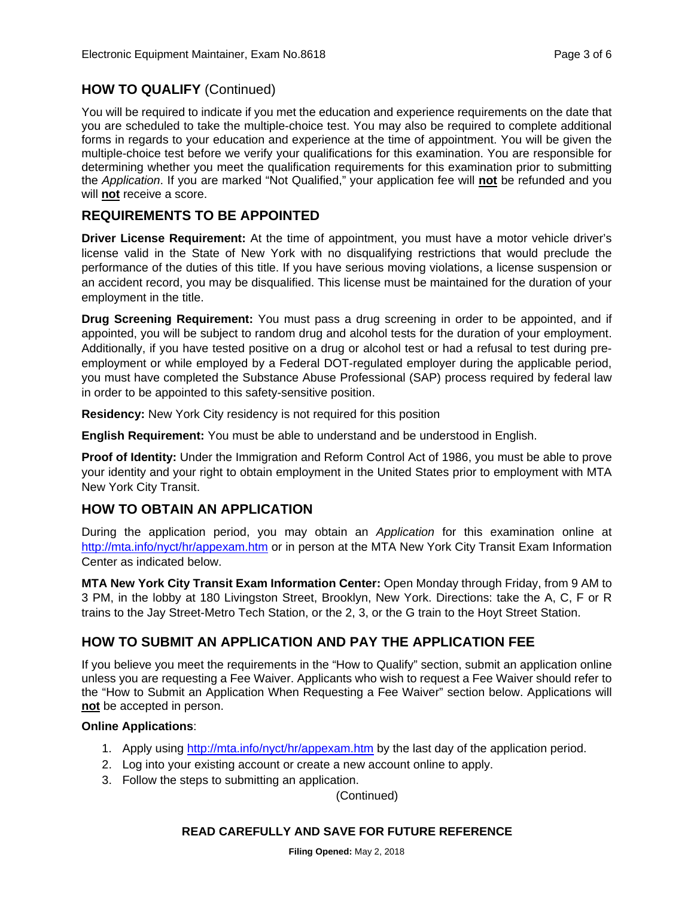#### **HOW TO QUALIFY** (Continued)

You will be required to indicate if you met the education and experience requirements on the date that you are scheduled to take the multiple-choice test. You may also be required to complete additional forms in regards to your education and experience at the time of appointment. You will be given the multiple-choice test before we verify your qualifications for this examination. You are responsible for determining whether you meet the qualification requirements for this examination prior to submitting the *Application*. If you are marked "Not Qualified," your application fee will **not** be refunded and you will **not** receive a score.

#### **REQUIREMENTS TO BE APPOINTED**

**Driver License Requirement:** At the time of appointment, you must have a motor vehicle driver's license valid in the State of New York with no disqualifying restrictions that would preclude the performance of the duties of this title. If you have serious moving violations, a license suspension or an accident record, you may be disqualified. This license must be maintained for the duration of your employment in the title.

**Drug Screening Requirement:** You must pass a drug screening in order to be appointed, and if appointed, you will be subject to random drug and alcohol tests for the duration of your employment. Additionally, if you have tested positive on a drug or alcohol test or had a refusal to test during preemployment or while employed by a Federal DOT-regulated employer during the applicable period, you must have completed the Substance Abuse Professional (SAP) process required by federal law in order to be appointed to this safety-sensitive position.

**Residency:** New York City residency is not required for this position

**English Requirement:** You must be able to understand and be understood in English.

**Proof of Identity:** Under the Immigration and Reform Control Act of 1986, you must be able to prove your identity and your right to obtain employment in the United States prior to employment with MTA New York City Transit.

#### **HOW TO OBTAIN AN APPLICATION**

During the application period, you may obtain an *Application* for this examination online at http://mta.info/nyct/hr/appexam.htm or in person at the MTA New York City Transit Exam Information Center as indicated below.

**MTA New York City Transit Exam Information Center:** Open Monday through Friday, from 9 AM to 3 PM, in the lobby at 180 Livingston Street, Brooklyn, New York. Directions: take the A, C, F or R trains to the Jay Street-Metro Tech Station, or the 2, 3, or the G train to the Hoyt Street Station.

## **HOW TO SUBMIT AN APPLICATION AND PAY THE APPLICATION FEE**

If you believe you meet the requirements in the "How to Qualify" section, submit an application online unless you are requesting a Fee Waiver. Applicants who wish to request a Fee Waiver should refer to the "How to Submit an Application When Requesting a Fee Waiver" section below. Applications will **not** be accepted in person.

#### **Online Applications**:

- 1. Apply using http://mta.info/nyct/hr/appexam.htm by the last day of the application period.
- 2. Log into your existing account or create a new account online to apply.
- 3. Follow the steps to submitting an application.

(Continued)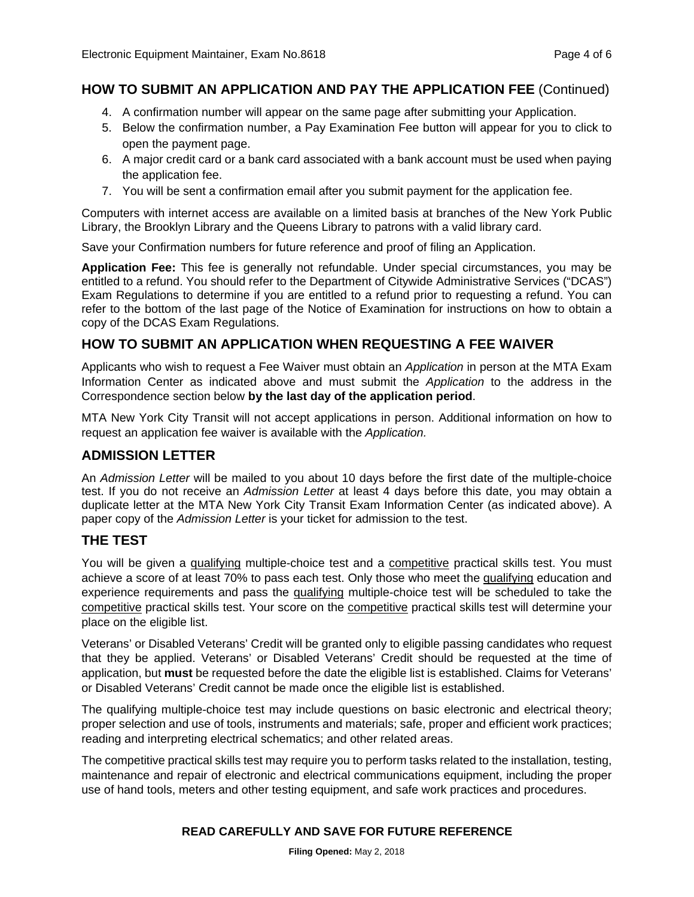#### **HOW TO SUBMIT AN APPLICATION AND PAY THE APPLICATION FEE** (Continued)

- 4. A confirmation number will appear on the same page after submitting your Application.
- 5. Below the confirmation number, a Pay Examination Fee button will appear for you to click to open the payment page.
- 6. A major credit card or a bank card associated with a bank account must be used when paying the application fee.
- 7. You will be sent a confirmation email after you submit payment for the application fee.

Computers with internet access are available on a limited basis at branches of the New York Public Library, the Brooklyn Library and the Queens Library to patrons with a valid library card.

Save your Confirmation numbers for future reference and proof of filing an Application.

**Application Fee:** This fee is generally not refundable. Under special circumstances, you may be entitled to a refund. You should refer to the Department of Citywide Administrative Services ("DCAS") Exam Regulations to determine if you are entitled to a refund prior to requesting a refund. You can refer to the bottom of the last page of the Notice of Examination for instructions on how to obtain a copy of the DCAS Exam Regulations.

#### **HOW TO SUBMIT AN APPLICATION WHEN REQUESTING A FEE WAIVER**

Applicants who wish to request a Fee Waiver must obtain an *Application* in person at the MTA Exam Information Center as indicated above and must submit the *Application* to the address in the Correspondence section below **by the last day of the application period**.

MTA New York City Transit will not accept applications in person. Additional information on how to request an application fee waiver is available with the *Application.*

#### **ADMISSION LETTER**

An *Admission Letter* will be mailed to you about 10 days before the first date of the multiple-choice test. If you do not receive an *Admission Letter* at least 4 days before this date, you may obtain a duplicate letter at the MTA New York City Transit Exam Information Center (as indicated above). A paper copy of the *Admission Letter* is your ticket for admission to the test.

#### **THE TEST**

You will be given a qualifying multiple-choice test and a competitive practical skills test. You must achieve a score of at least 70% to pass each test. Only those who meet the qualifying education and experience requirements and pass the qualifying multiple-choice test will be scheduled to take the competitive practical skills test. Your score on the competitive practical skills test will determine your place on the eligible list.

Veterans' or Disabled Veterans' Credit will be granted only to eligible passing candidates who request that they be applied. Veterans' or Disabled Veterans' Credit should be requested at the time of application, but **must** be requested before the date the eligible list is established. Claims for Veterans' or Disabled Veterans' Credit cannot be made once the eligible list is established.

The qualifying multiple-choice test may include questions on basic electronic and electrical theory; proper selection and use of tools, instruments and materials; safe, proper and efficient work practices; reading and interpreting electrical schematics; and other related areas.

The competitive practical skills test may require you to perform tasks related to the installation, testing, maintenance and repair of electronic and electrical communications equipment, including the proper use of hand tools, meters and other testing equipment, and safe work practices and procedures.

#### **READ CAREFULLY AND SAVE FOR FUTURE REFERENCE**

**Filing Opened:** May 2, 2018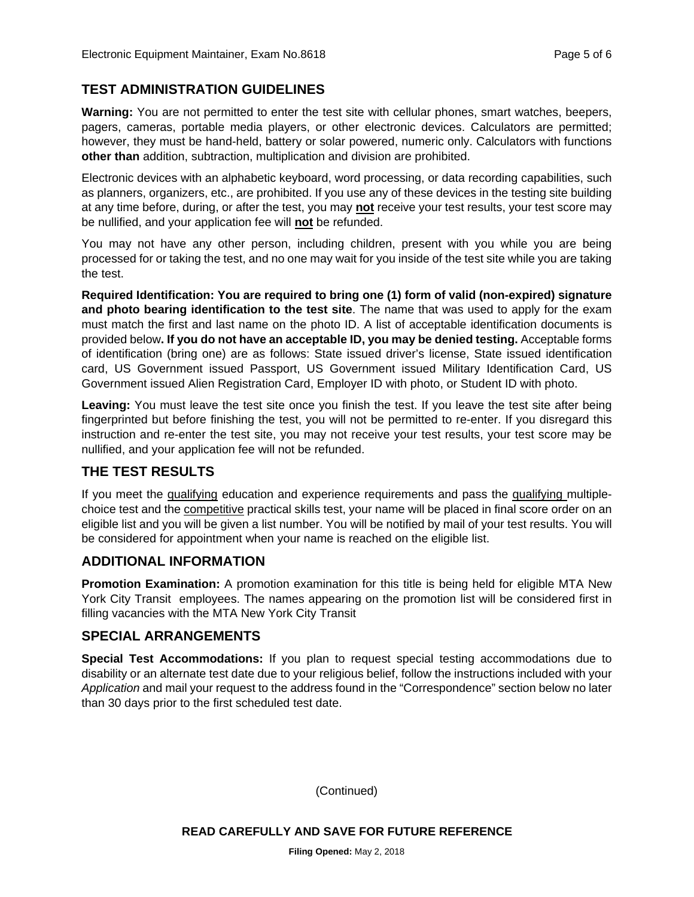#### **TEST ADMINISTRATION GUIDELINES**

**Warning:** You are not permitted to enter the test site with cellular phones, smart watches, beepers, pagers, cameras, portable media players, or other electronic devices. Calculators are permitted; however, they must be hand-held, battery or solar powered, numeric only. Calculators with functions **other than** addition, subtraction, multiplication and division are prohibited.

Electronic devices with an alphabetic keyboard, word processing, or data recording capabilities, such as planners, organizers, etc., are prohibited. If you use any of these devices in the testing site building at any time before, during, or after the test, you may **not** receive your test results, your test score may be nullified, and your application fee will **not** be refunded.

You may not have any other person, including children, present with you while you are being processed for or taking the test, and no one may wait for you inside of the test site while you are taking the test.

**Required Identification: You are required to bring one (1) form of valid (non-expired) signature and photo bearing identification to the test site**. The name that was used to apply for the exam must match the first and last name on the photo ID. A list of acceptable identification documents is provided below**. If you do not have an acceptable ID, you may be denied testing.** Acceptable forms of identification (bring one) are as follows: State issued driver's license, State issued identification card, US Government issued Passport, US Government issued Military Identification Card, US Government issued Alien Registration Card, Employer ID with photo, or Student ID with photo.

**Leaving:** You must leave the test site once you finish the test. If you leave the test site after being fingerprinted but before finishing the test, you will not be permitted to re-enter. If you disregard this instruction and re-enter the test site, you may not receive your test results, your test score may be nullified, and your application fee will not be refunded.

#### **THE TEST RESULTS**

If you meet the qualifying education and experience requirements and pass the qualifying multiplechoice test and the competitive practical skills test, your name will be placed in final score order on an eligible list and you will be given a list number. You will be notified by mail of your test results. You will be considered for appointment when your name is reached on the eligible list.

#### **ADDITIONAL INFORMATION**

**Promotion Examination:** A promotion examination for this title is being held for eligible MTA New York City Transit employees. The names appearing on the promotion list will be considered first in filling vacancies with the MTA New York City Transit

#### **SPECIAL ARRANGEMENTS**

**Special Test Accommodations:** If you plan to request special testing accommodations due to disability or an alternate test date due to your religious belief, follow the instructions included with your *Application* and mail your request to the address found in the "Correspondence" section below no later than 30 days prior to the first scheduled test date.

(Continued)